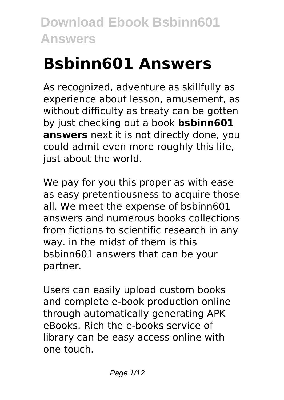# **Bsbinn601 Answers**

As recognized, adventure as skillfully as experience about lesson, amusement, as without difficulty as treaty can be gotten by just checking out a book **bsbinn601 answers** next it is not directly done, you could admit even more roughly this life, just about the world.

We pay for you this proper as with ease as easy pretentiousness to acquire those all. We meet the expense of bsbinn601 answers and numerous books collections from fictions to scientific research in any way. in the midst of them is this bsbinn601 answers that can be your partner.

Users can easily upload custom books and complete e-book production online through automatically generating APK eBooks. Rich the e-books service of library can be easy access online with one touch.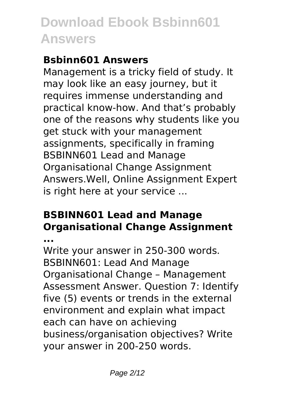### **Bsbinn601 Answers**

Management is a tricky field of study. It may look like an easy journey, but it requires immense understanding and practical know-how. And that's probably one of the reasons why students like you get stuck with your management assignments, specifically in framing BSBINN601 Lead and Manage Organisational Change Assignment Answers.Well, Online Assignment Expert is right here at your service ...

### **BSBINN601 Lead and Manage Organisational Change Assignment**

**...**

Write your answer in 250-300 words. BSBINN601: Lead And Manage Organisational Change – Management Assessment Answer. Question 7: Identify five (5) events or trends in the external environment and explain what impact each can have on achieving business/organisation objectives? Write your answer in 200-250 words.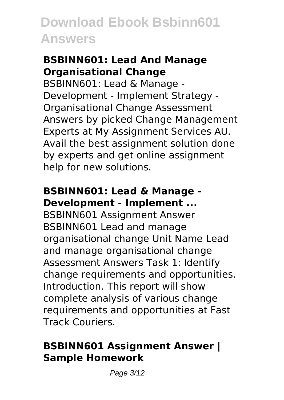#### **BSBINN601: Lead And Manage Organisational Change**

BSBINN601: Lead & Manage - Development - Implement Strategy - Organisational Change Assessment Answers by picked Change Management Experts at My Assignment Services AU. Avail the best assignment solution done by experts and get online assignment help for new solutions.

### **BSBINN601: Lead & Manage - Development - Implement ...**

BSBINN601 Assignment Answer BSBINN601 Lead and manage organisational change Unit Name Lead and manage organisational change Assessment Answers Task 1: Identify change requirements and opportunities. Introduction. This report will show complete analysis of various change requirements and opportunities at Fast Track Couriers.

#### **BSBINN601 Assignment Answer | Sample Homework**

Page 3/12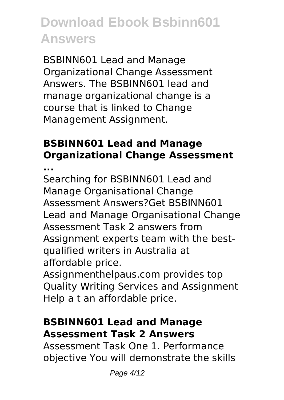BSBINN601 Lead and Manage Organizational Change Assessment Answers. The BSBINN601 lead and manage organizational change is a course that is linked to Change Management Assignment.

### **BSBINN601 Lead and Manage Organizational Change Assessment**

**...**

Searching for BSBINN601 Lead and Manage Organisational Change Assessment Answers?Get BSBINN601 Lead and Manage Organisational Change Assessment Task 2 answers from Assignment experts team with the bestqualified writers in Australia at affordable price.

Assignmenthelpaus.com provides top Quality Writing Services and Assignment Help a t an affordable price.

#### **BSBINN601 Lead and Manage Assessment Task 2 Answers**

Assessment Task One 1. Performance objective You will demonstrate the skills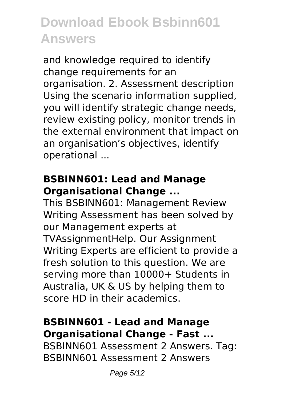and knowledge required to identify change requirements for an organisation. 2. Assessment description Using the scenario information supplied, you will identify strategic change needs, review existing policy, monitor trends in the external environment that impact on an organisation's objectives, identify operational ...

#### **BSBINN601: Lead and Manage Organisational Change ...**

This BSBINN601: Management Review Writing Assessment has been solved by our Management experts at TVAssignmentHelp. Our Assignment Writing Experts are efficient to provide a fresh solution to this question. We are serving more than 10000+ Students in Australia, UK & US by helping them to score HD in their academics.

#### **BSBINN601 - Lead and Manage Organisational Change - Fast ...**

BSBINN601 Assessment 2 Answers. Tag: BSBINN601 Assessment 2 Answers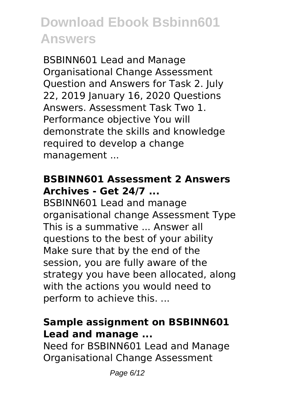BSBINN601 Lead and Manage Organisational Change Assessment Question and Answers for Task 2. July 22, 2019 January 16, 2020 Questions Answers. Assessment Task Two 1. Performance objective You will demonstrate the skills and knowledge required to develop a change management ...

#### **BSBINN601 Assessment 2 Answers Archives - Get 24/7 ...**

BSBINN601 Lead and manage organisational change Assessment Type This is a summative ... Answer all questions to the best of your ability Make sure that by the end of the session, you are fully aware of the strategy you have been allocated, along with the actions you would need to perform to achieve this. ...

#### **Sample assignment on BSBINN601 Lead and manage ...**

Need for BSBINN601 Lead and Manage Organisational Change Assessment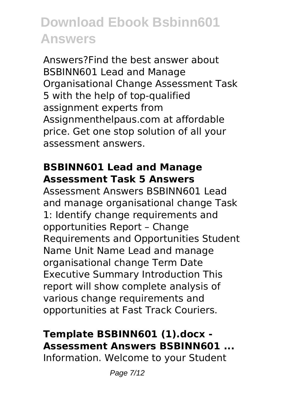Answers?Find the best answer about BSBINN601 Lead and Manage Organisational Change Assessment Task 5 with the help of top-qualified assignment experts from Assignmenthelpaus.com at affordable price. Get one stop solution of all your assessment answers.

#### **BSBINN601 Lead and Manage Assessment Task 5 Answers**

Assessment Answers BSBINN601 Lead and manage organisational change Task 1: Identify change requirements and opportunities Report – Change Requirements and Opportunities Student Name Unit Name Lead and manage organisational change Term Date Executive Summary Introduction This report will show complete analysis of various change requirements and opportunities at Fast Track Couriers.

### **Template BSBINN601 (1).docx - Assessment Answers BSBINN601 ...**

Information. Welcome to your Student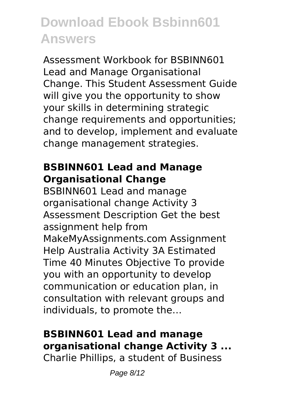Assessment Workbook for BSBINN601 Lead and Manage Organisational Change. This Student Assessment Guide will give you the opportunity to show your skills in determining strategic change requirements and opportunities; and to develop, implement and evaluate change management strategies.

### **BSBINN601 Lead and Manage Organisational Change**

BSBINN601 Lead and manage organisational change Activity 3 Assessment Description Get the best assignment help from MakeMyAssignments.com Assignment Help Australia Activity 3A Estimated Time 40 Minutes Objective To provide you with an opportunity to develop communication or education plan, in consultation with relevant groups and individuals, to promote the…

### **BSBINN601 Lead and manage organisational change Activity 3 ...**

Charlie Phillips, a student of Business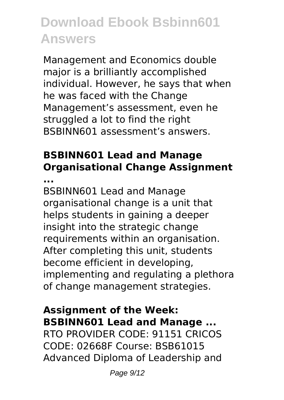Management and Economics double major is a brilliantly accomplished individual. However, he says that when he was faced with the Change Management's assessment, even he struggled a lot to find the right BSBINN601 assessment's answers.

### **BSBINN601 Lead and Manage Organisational Change Assignment**

**...**

BSBINN601 Lead and Manage organisational change is a unit that helps students in gaining a deeper insight into the strategic change requirements within an organisation. After completing this unit, students become efficient in developing, implementing and regulating a plethora of change management strategies.

### **Assignment of the Week: BSBINN601 Lead and Manage ...**

RTO PROVIDER CODE: 91151 CRICOS CODE: 02668F Course: BSB61015 Advanced Diploma of Leadership and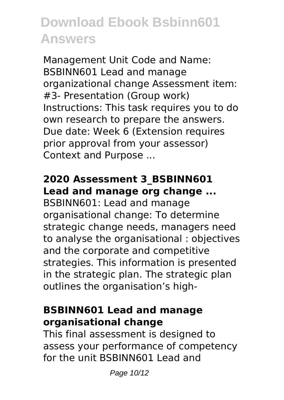Management Unit Code and Name: BSBINN601 Lead and manage organizational change Assessment item: #3- Presentation (Group work) Instructions: This task requires you to do own research to prepare the answers. Due date: Week 6 (Extension requires prior approval from your assessor) Context and Purpose ...

### **2020 Assessment 3\_BSBINN601 Lead and manage org change ...**

BSBINN601: Lead and manage organisational change: To determine strategic change needs, managers need to analyse the organisational : objectives and the corporate and competitive strategies. This information is presented in the strategic plan. The strategic plan outlines the organisation's high-

#### **BSBINN601 Lead and manage organisational change**

This final assessment is designed to assess your performance of competency for the unit BSBINN601 Lead and

Page 10/12